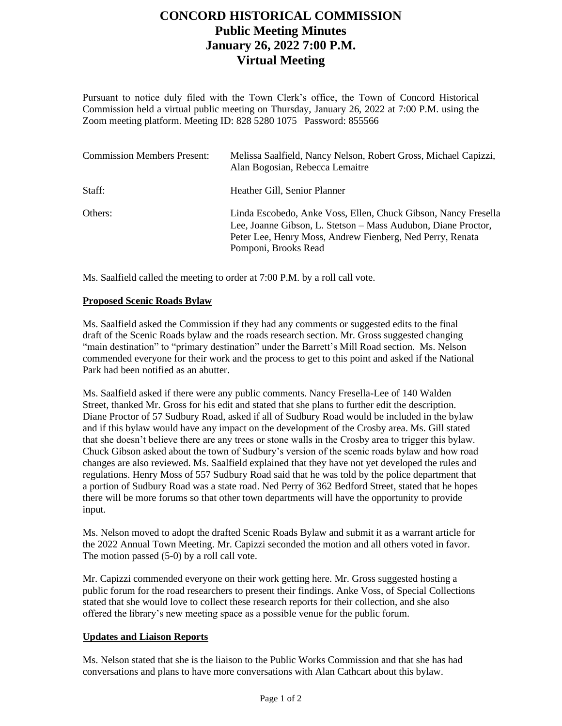# **CONCORD HISTORICAL COMMISSION Public Meeting Minutes January 26, 2022 7:00 P.M. Virtual Meeting**

Pursuant to notice duly filed with the Town Clerk's office, the Town of Concord Historical Commission held a virtual public meeting on Thursday, January 26, 2022 at 7:00 P.M. using the Zoom meeting platform. Meeting ID: 828 5280 1075 Password: 855566

| <b>Commission Members Present:</b> | Melissa Saalfield, Nancy Nelson, Robert Gross, Michael Capizzi,<br>Alan Bogosian, Rebecca Lemaitre                                                                                                                   |
|------------------------------------|----------------------------------------------------------------------------------------------------------------------------------------------------------------------------------------------------------------------|
| Staff:                             | Heather Gill, Senior Planner                                                                                                                                                                                         |
| Others:                            | Linda Escobedo, Anke Voss, Ellen, Chuck Gibson, Nancy Fresella<br>Lee, Joanne Gibson, L. Stetson – Mass Audubon, Diane Proctor,<br>Peter Lee, Henry Moss, Andrew Fienberg, Ned Perry, Renata<br>Pomponi, Brooks Read |

Ms. Saalfield called the meeting to order at 7:00 P.M. by a roll call vote.

### **Proposed Scenic Roads Bylaw**

Ms. Saalfield asked the Commission if they had any comments or suggested edits to the final draft of the Scenic Roads bylaw and the roads research section. Mr. Gross suggested changing "main destination" to "primary destination" under the Barrett's Mill Road section. Ms. Nelson commended everyone for their work and the process to get to this point and asked if the National Park had been notified as an abutter.

Ms. Saalfield asked if there were any public comments. Nancy Fresella-Lee of 140 Walden Street, thanked Mr. Gross for his edit and stated that she plans to further edit the description. Diane Proctor of 57 Sudbury Road, asked if all of Sudbury Road would be included in the bylaw and if this bylaw would have any impact on the development of the Crosby area. Ms. Gill stated that she doesn't believe there are any trees or stone walls in the Crosby area to trigger this bylaw. Chuck Gibson asked about the town of Sudbury's version of the scenic roads bylaw and how road changes are also reviewed. Ms. Saalfield explained that they have not yet developed the rules and regulations. Henry Moss of 557 Sudbury Road said that he was told by the police department that a portion of Sudbury Road was a state road. Ned Perry of 362 Bedford Street, stated that he hopes there will be more forums so that other town departments will have the opportunity to provide input.

Ms. Nelson moved to adopt the drafted Scenic Roads Bylaw and submit it as a warrant article for the 2022 Annual Town Meeting. Mr. Capizzi seconded the motion and all others voted in favor. The motion passed (5-0) by a roll call vote.

Mr. Capizzi commended everyone on their work getting here. Mr. Gross suggested hosting a public forum for the road researchers to present their findings. Anke Voss, of Special Collections stated that she would love to collect these research reports for their collection, and she also offered the library's new meeting space as a possible venue for the public forum.

### **Updates and Liaison Reports**

Ms. Nelson stated that she is the liaison to the Public Works Commission and that she has had conversations and plans to have more conversations with Alan Cathcart about this bylaw.